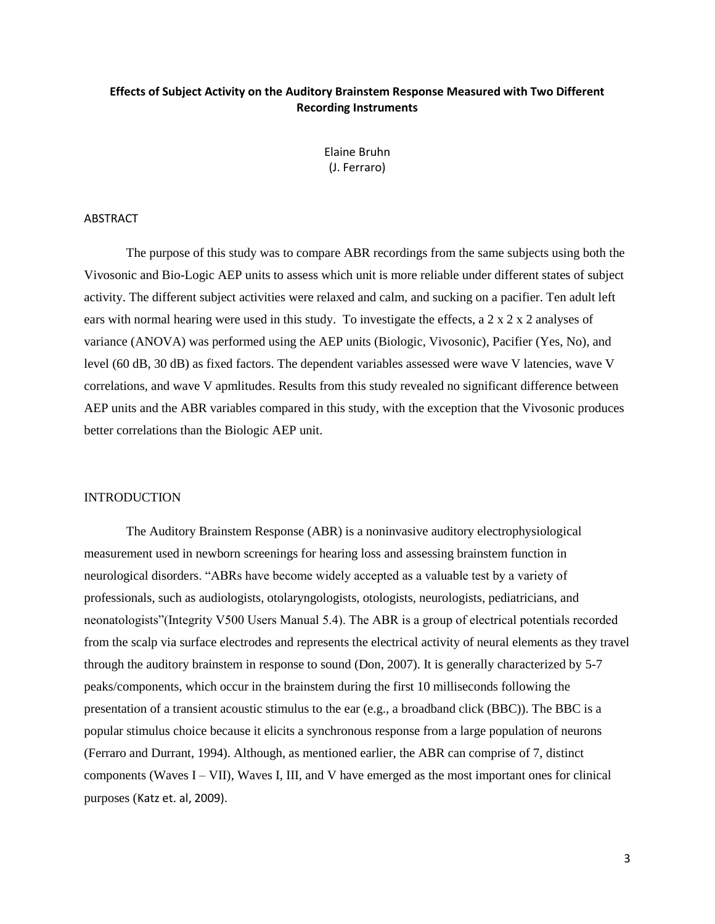# **Effects of Subject Activity on the Auditory Brainstem Response Measured with Two Different Recording Instruments**

Elaine Bruhn (J. Ferraro)

#### ABSTRACT

The purpose of this study was to compare ABR recordings from the same subjects using both the Vivosonic and Bio-Logic AEP units to assess which unit is more reliable under different states of subject activity. The different subject activities were relaxed and calm, and sucking on a pacifier. Ten adult left ears with normal hearing were used in this study. To investigate the effects, a 2 x 2 x 2 analyses of variance (ANOVA) was performed using the AEP units (Biologic, Vivosonic), Pacifier (Yes, No), and level (60 dB, 30 dB) as fixed factors. The dependent variables assessed were wave V latencies, wave V correlations, and wave V apmlitudes. Results from this study revealed no significant difference between AEP units and the ABR variables compared in this study, with the exception that the Vivosonic produces better correlations than the Biologic AEP unit.

#### INTRODUCTION

The Auditory Brainstem Response (ABR) is a noninvasive auditory electrophysiological measurement used in newborn screenings for hearing loss and assessing brainstem function in neurological disorders. "ABRs have become widely accepted as a valuable test by a variety of professionals, such as audiologists, otolaryngologists, otologists, neurologists, pediatricians, and neonatologists"(Integrity V500 Users Manual 5.4). The ABR is a group of electrical potentials recorded from the scalp via surface electrodes and represents the electrical activity of neural elements as they travel through the auditory brainstem in response to sound (Don, 2007). It is generally characterized by 5-7 peaks/components, which occur in the brainstem during the first 10 milliseconds following the presentation of a transient acoustic stimulus to the ear (e.g., a broadband click (BBC)). The BBC is a popular stimulus choice because it elicits a synchronous response from a large population of neurons (Ferraro and Durrant, 1994). Although, as mentioned earlier, the ABR can comprise of 7, distinct components (Waves  $I - VII$ ), Waves I, III, and V have emerged as the most important ones for clinical purposes (Katz et. al, 2009).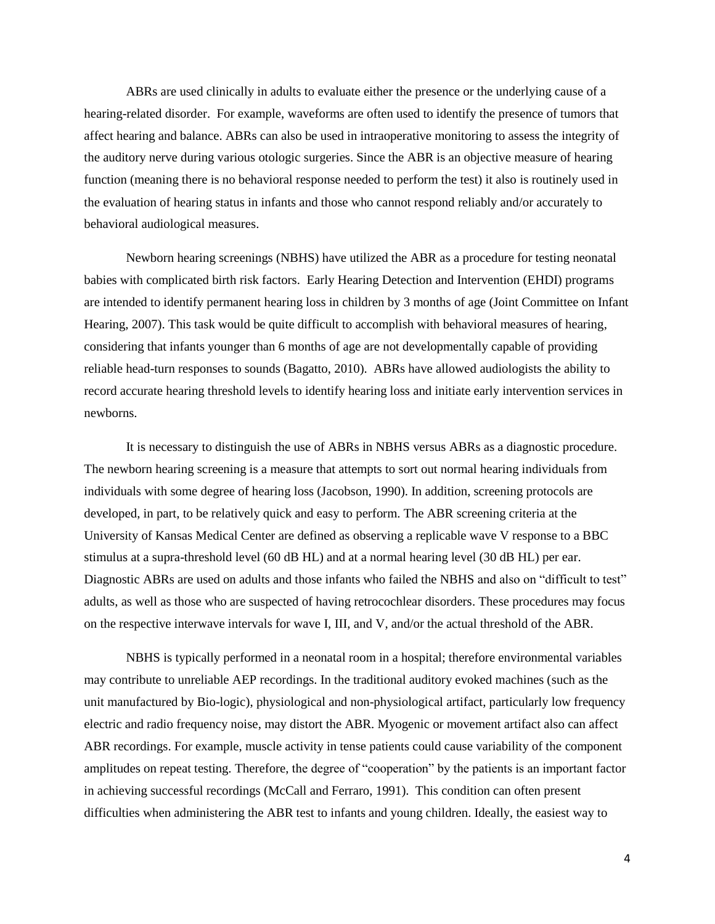ABRs are used clinically in adults to evaluate either the presence or the underlying cause of a hearing-related disorder. For example, waveforms are often used to identify the presence of tumors that affect hearing and balance. ABRs can also be used in intraoperative monitoring to assess the integrity of the auditory nerve during various otologic surgeries. Since the ABR is an objective measure of hearing function (meaning there is no behavioral response needed to perform the test) it also is routinely used in the evaluation of hearing status in infants and those who cannot respond reliably and/or accurately to behavioral audiological measures.

Newborn hearing screenings (NBHS) have utilized the ABR as a procedure for testing neonatal babies with complicated birth risk factors. Early Hearing Detection and Intervention (EHDI) programs are intended to identify permanent hearing loss in children by 3 months of age (Joint Committee on Infant Hearing, 2007). This task would be quite difficult to accomplish with behavioral measures of hearing, considering that infants younger than 6 months of age are not developmentally capable of providing reliable head-turn responses to sounds (Bagatto, 2010). ABRs have allowed audiologists the ability to record accurate hearing threshold levels to identify hearing loss and initiate early intervention services in newborns.

It is necessary to distinguish the use of ABRs in NBHS versus ABRs as a diagnostic procedure. The newborn hearing screening is a measure that attempts to sort out normal hearing individuals from individuals with some degree of hearing loss (Jacobson, 1990). In addition, screening protocols are developed, in part, to be relatively quick and easy to perform. The ABR screening criteria at the University of Kansas Medical Center are defined as observing a replicable wave V response to a BBC stimulus at a supra-threshold level (60 dB HL) and at a normal hearing level (30 dB HL) per ear. Diagnostic ABRs are used on adults and those infants who failed the NBHS and also on "difficult to test" adults, as well as those who are suspected of having retrocochlear disorders. These procedures may focus on the respective interwave intervals for wave I, III, and V, and/or the actual threshold of the ABR.

NBHS is typically performed in a neonatal room in a hospital; therefore environmental variables may contribute to unreliable AEP recordings. In the traditional auditory evoked machines (such as the unit manufactured by Bio-logic), physiological and non-physiological artifact, particularly low frequency electric and radio frequency noise, may distort the ABR. Myogenic or movement artifact also can affect ABR recordings. For example, muscle activity in tense patients could cause variability of the component amplitudes on repeat testing. Therefore, the degree of "cooperation" by the patients is an important factor in achieving successful recordings (McCall and Ferraro, 1991). This condition can often present difficulties when administering the ABR test to infants and young children. Ideally, the easiest way to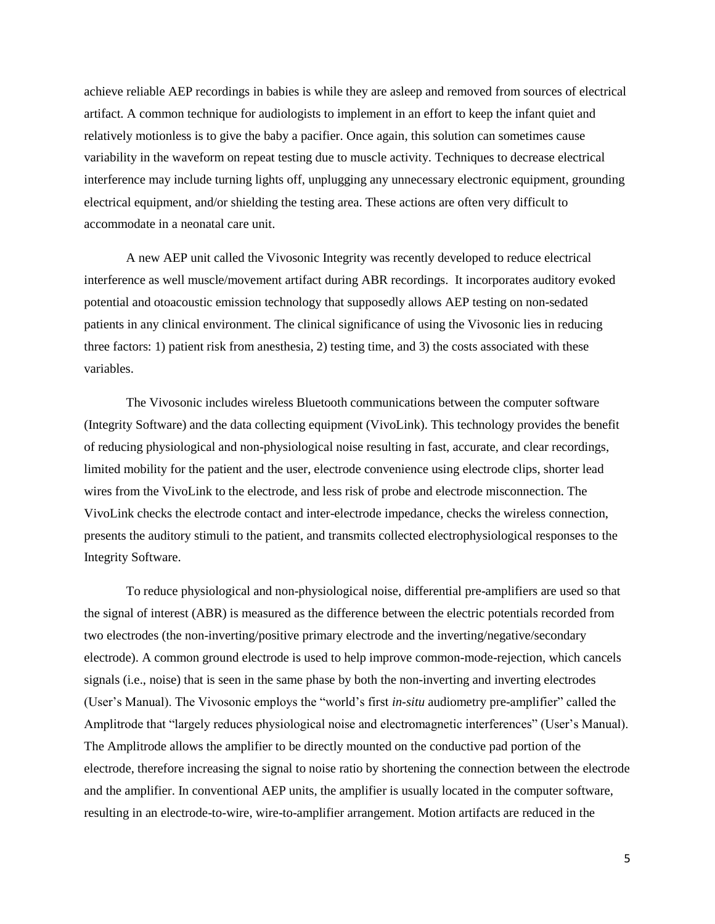achieve reliable AEP recordings in babies is while they are asleep and removed from sources of electrical artifact. A common technique for audiologists to implement in an effort to keep the infant quiet and relatively motionless is to give the baby a pacifier. Once again, this solution can sometimes cause variability in the waveform on repeat testing due to muscle activity. Techniques to decrease electrical interference may include turning lights off, unplugging any unnecessary electronic equipment, grounding electrical equipment, and/or shielding the testing area. These actions are often very difficult to accommodate in a neonatal care unit.

A new AEP unit called the Vivosonic Integrity was recently developed to reduce electrical interference as well muscle/movement artifact during ABR recordings. It incorporates auditory evoked potential and otoacoustic emission technology that supposedly allows AEP testing on non-sedated patients in any clinical environment. The clinical significance of using the Vivosonic lies in reducing three factors: 1) patient risk from anesthesia, 2) testing time, and 3) the costs associated with these variables.

The Vivosonic includes wireless Bluetooth communications between the computer software (Integrity Software) and the data collecting equipment (VivoLink). This technology provides the benefit of reducing physiological and non-physiological noise resulting in fast, accurate, and clear recordings, limited mobility for the patient and the user, electrode convenience using electrode clips, shorter lead wires from the VivoLink to the electrode, and less risk of probe and electrode misconnection. The VivoLink checks the electrode contact and inter-electrode impedance, checks the wireless connection, presents the auditory stimuli to the patient, and transmits collected electrophysiological responses to the Integrity Software.

To reduce physiological and non-physiological noise, differential pre-amplifiers are used so that the signal of interest (ABR) is measured as the difference between the electric potentials recorded from two electrodes (the non-inverting/positive primary electrode and the inverting/negative/secondary electrode). A common ground electrode is used to help improve common-mode-rejection, which cancels signals (i.e., noise) that is seen in the same phase by both the non-inverting and inverting electrodes (User's Manual). The Vivosonic employs the "world's first *in-situ* audiometry pre-amplifier" called the Amplitrode that "largely reduces physiological noise and electromagnetic interferences" (User's Manual). The Amplitrode allows the amplifier to be directly mounted on the conductive pad portion of the electrode, therefore increasing the signal to noise ratio by shortening the connection between the electrode and the amplifier. In conventional AEP units, the amplifier is usually located in the computer software, resulting in an electrode-to-wire, wire-to-amplifier arrangement. Motion artifacts are reduced in the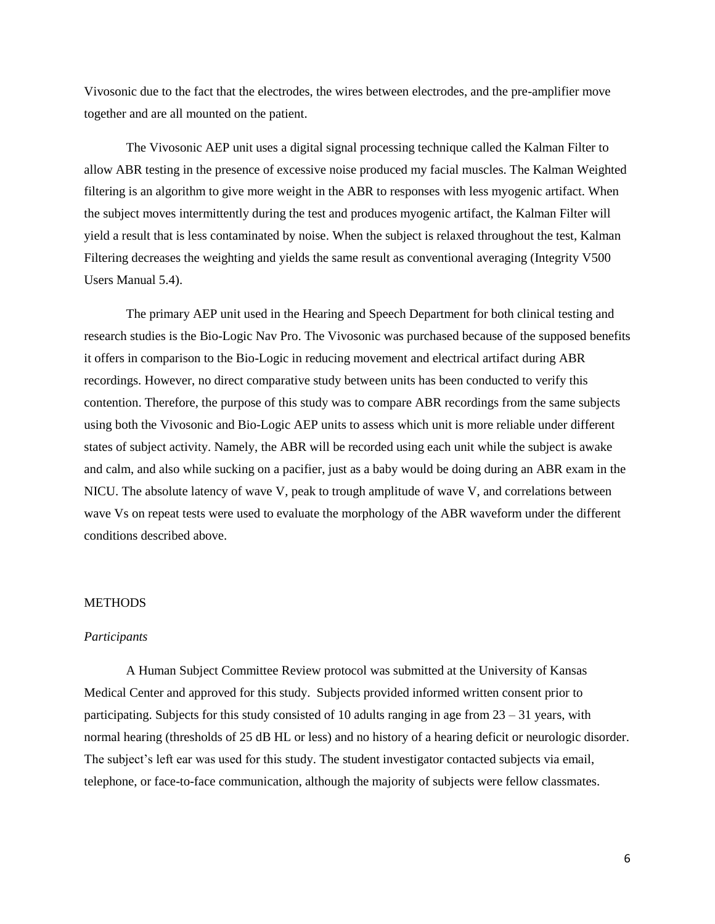Vivosonic due to the fact that the electrodes, the wires between electrodes, and the pre-amplifier move together and are all mounted on the patient.

The Vivosonic AEP unit uses a digital signal processing technique called the Kalman Filter to allow ABR testing in the presence of excessive noise produced my facial muscles. The Kalman Weighted filtering is an algorithm to give more weight in the ABR to responses with less myogenic artifact. When the subject moves intermittently during the test and produces myogenic artifact, the Kalman Filter will yield a result that is less contaminated by noise. When the subject is relaxed throughout the test, Kalman Filtering decreases the weighting and yields the same result as conventional averaging (Integrity V500 Users Manual 5.4).

The primary AEP unit used in the Hearing and Speech Department for both clinical testing and research studies is the Bio-Logic Nav Pro. The Vivosonic was purchased because of the supposed benefits it offers in comparison to the Bio-Logic in reducing movement and electrical artifact during ABR recordings. However, no direct comparative study between units has been conducted to verify this contention. Therefore, the purpose of this study was to compare ABR recordings from the same subjects using both the Vivosonic and Bio-Logic AEP units to assess which unit is more reliable under different states of subject activity. Namely, the ABR will be recorded using each unit while the subject is awake and calm, and also while sucking on a pacifier, just as a baby would be doing during an ABR exam in the NICU. The absolute latency of wave V, peak to trough amplitude of wave V, and correlations between wave Vs on repeat tests were used to evaluate the morphology of the ABR waveform under the different conditions described above.

# METHODS

#### *Participants*

A Human Subject Committee Review protocol was submitted at the University of Kansas Medical Center and approved for this study. Subjects provided informed written consent prior to participating. Subjects for this study consisted of 10 adults ranging in age from  $23 - 31$  years, with normal hearing (thresholds of 25 dB HL or less) and no history of a hearing deficit or neurologic disorder. The subject's left ear was used for this study. The student investigator contacted subjects via email, telephone, or face-to-face communication, although the majority of subjects were fellow classmates.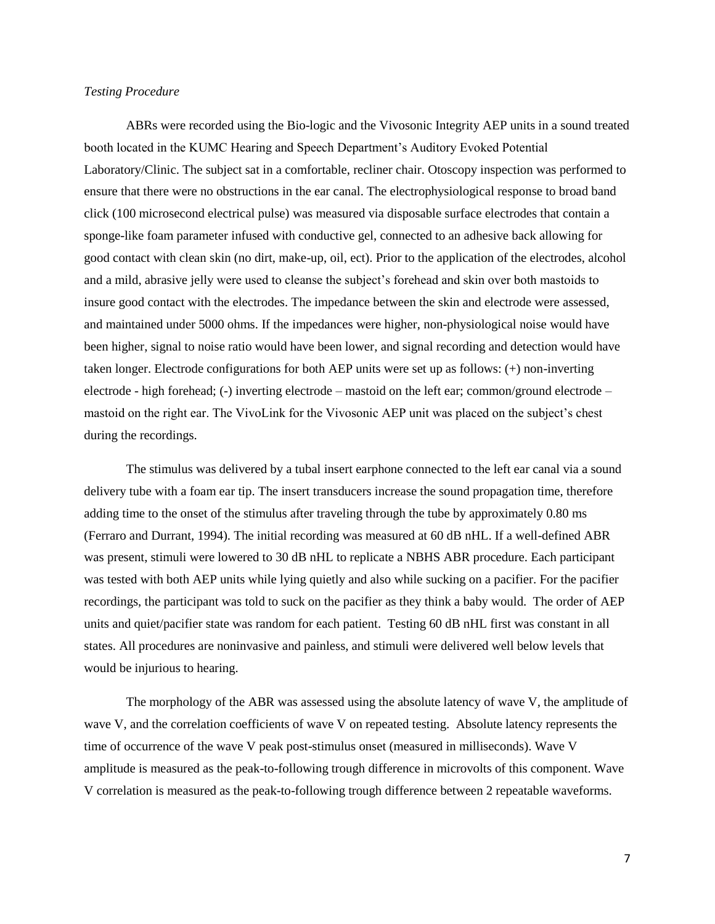### *Testing Procedure*

ABRs were recorded using the Bio-logic and the Vivosonic Integrity AEP units in a sound treated booth located in the KUMC Hearing and Speech Department's Auditory Evoked Potential Laboratory/Clinic. The subject sat in a comfortable, recliner chair. Otoscopy inspection was performed to ensure that there were no obstructions in the ear canal. The electrophysiological response to broad band click (100 microsecond electrical pulse) was measured via disposable surface electrodes that contain a sponge-like foam parameter infused with conductive gel, connected to an adhesive back allowing for good contact with clean skin (no dirt, make-up, oil, ect). Prior to the application of the electrodes, alcohol and a mild, abrasive jelly were used to cleanse the subject's forehead and skin over both mastoids to insure good contact with the electrodes. The impedance between the skin and electrode were assessed, and maintained under 5000 ohms. If the impedances were higher, non-physiological noise would have been higher, signal to noise ratio would have been lower, and signal recording and detection would have taken longer. Electrode configurations for both AEP units were set up as follows: (+) non-inverting electrode - high forehead; (-) inverting electrode – mastoid on the left ear; common/ground electrode – mastoid on the right ear. The VivoLink for the Vivosonic AEP unit was placed on the subject's chest during the recordings.

The stimulus was delivered by a tubal insert earphone connected to the left ear canal via a sound delivery tube with a foam ear tip. The insert transducers increase the sound propagation time, therefore adding time to the onset of the stimulus after traveling through the tube by approximately 0.80 ms (Ferraro and Durrant, 1994). The initial recording was measured at 60 dB nHL. If a well-defined ABR was present, stimuli were lowered to 30 dB nHL to replicate a NBHS ABR procedure. Each participant was tested with both AEP units while lying quietly and also while sucking on a pacifier. For the pacifier recordings, the participant was told to suck on the pacifier as they think a baby would. The order of AEP units and quiet/pacifier state was random for each patient. Testing 60 dB nHL first was constant in all states. All procedures are noninvasive and painless, and stimuli were delivered well below levels that would be injurious to hearing.

The morphology of the ABR was assessed using the absolute latency of wave V, the amplitude of wave V, and the correlation coefficients of wave V on repeated testing. Absolute latency represents the time of occurrence of the wave V peak post-stimulus onset (measured in milliseconds). Wave V amplitude is measured as the peak-to-following trough difference in microvolts of this component. Wave V correlation is measured as the peak-to-following trough difference between 2 repeatable waveforms.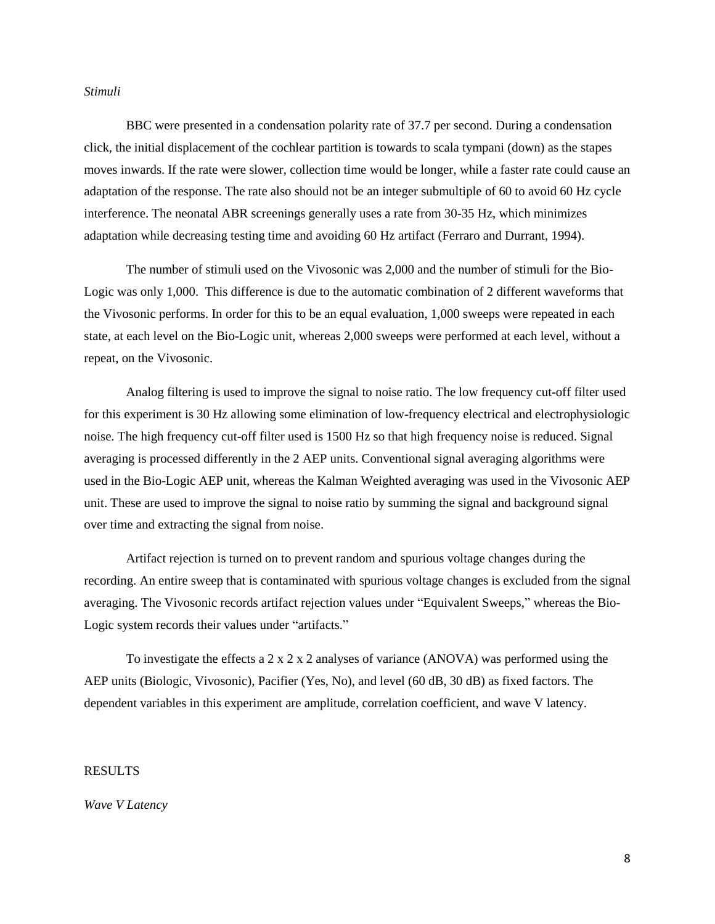### *Stimuli*

BBC were presented in a condensation polarity rate of 37.7 per second. During a condensation click, the initial displacement of the cochlear partition is towards to scala tympani (down) as the stapes moves inwards. If the rate were slower, collection time would be longer, while a faster rate could cause an adaptation of the response. The rate also should not be an integer submultiple of 60 to avoid 60 Hz cycle interference. The neonatal ABR screenings generally uses a rate from 30-35 Hz, which minimizes adaptation while decreasing testing time and avoiding 60 Hz artifact (Ferraro and Durrant, 1994).

The number of stimuli used on the Vivosonic was 2,000 and the number of stimuli for the Bio-Logic was only 1,000. This difference is due to the automatic combination of 2 different waveforms that the Vivosonic performs. In order for this to be an equal evaluation, 1,000 sweeps were repeated in each state, at each level on the Bio-Logic unit, whereas 2,000 sweeps were performed at each level, without a repeat, on the Vivosonic.

Analog filtering is used to improve the signal to noise ratio. The low frequency cut-off filter used for this experiment is 30 Hz allowing some elimination of low-frequency electrical and electrophysiologic noise. The high frequency cut-off filter used is 1500 Hz so that high frequency noise is reduced. Signal averaging is processed differently in the 2 AEP units. Conventional signal averaging algorithms were used in the Bio-Logic AEP unit, whereas the Kalman Weighted averaging was used in the Vivosonic AEP unit. These are used to improve the signal to noise ratio by summing the signal and background signal over time and extracting the signal from noise.

Artifact rejection is turned on to prevent random and spurious voltage changes during the recording. An entire sweep that is contaminated with spurious voltage changes is excluded from the signal averaging. The Vivosonic records artifact rejection values under "Equivalent Sweeps," whereas the Bio-Logic system records their values under "artifacts."

To investigate the effects a  $2 \times 2 \times 2$  analyses of variance (ANOVA) was performed using the AEP units (Biologic, Vivosonic), Pacifier (Yes, No), and level (60 dB, 30 dB) as fixed factors. The dependent variables in this experiment are amplitude, correlation coefficient, and wave V latency.

## RESULTS

*Wave V Latency*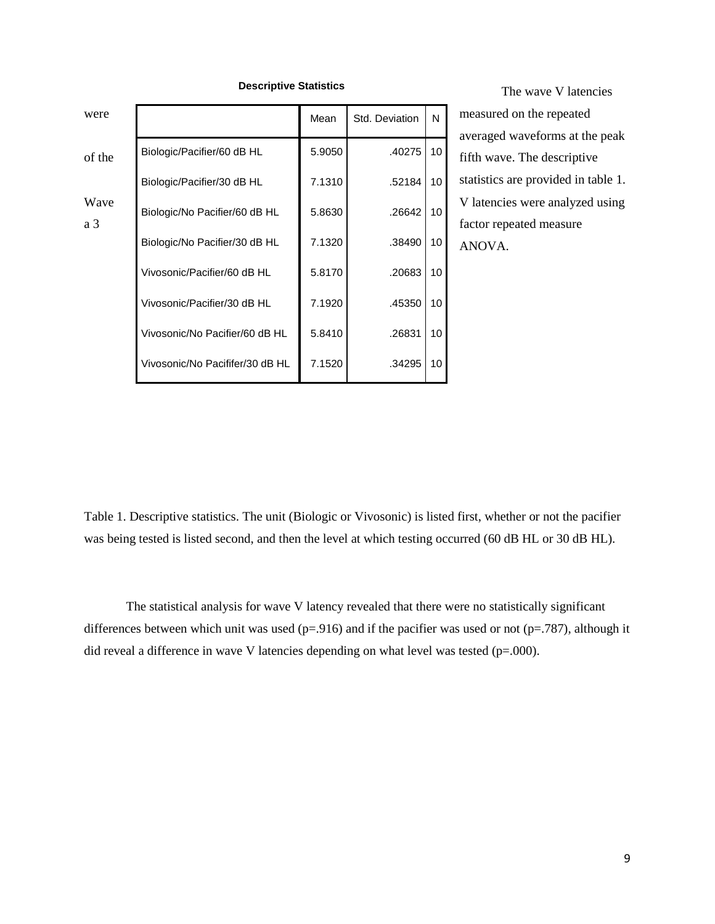| were        |                                 | Mean   | Std. Deviation | N               |  |
|-------------|---------------------------------|--------|----------------|-----------------|--|
| of the      | Biologic/Pacifier/60 dB HL      | 5.9050 | .40275         | 10 <sup>1</sup> |  |
|             | Biologic/Pacifier/30 dB HL      | 7.1310 | .52184         | 10 <sup>1</sup> |  |
| Wave<br>a 3 | Biologic/No Pacifier/60 dB HL   | 5.8630 | .26642         | 10 <sup>1</sup> |  |
|             | Biologic/No Pacifier/30 dB HL   | 7.1320 | .38490         | 10              |  |
|             | Vivosonic/Pacifier/60 dB HL     | 5.8170 | .20683         | 10              |  |
|             | Vivosonic/Pacifier/30 dB HL     | 7.1920 | .45350         | 10              |  |
|             | Vivosonic/No Pacifier/60 dB HL  | 5.8410 | .26831         | 10              |  |
|             | Vivosonic/No Pacififer/30 dB HL | 7.1520 | .34295         | 10              |  |

**Descriptive Statistics**

The wave V latencies measured on the repeated averaged waveforms at the peak fifth wave. The descriptive statistics are provided in table 1. V latencies were analyzed using factor repeated measure ANOVA.

Table 1. Descriptive statistics. The unit (Biologic or Vivosonic) is listed first, whether or not the pacifier was being tested is listed second, and then the level at which testing occurred (60 dB HL or 30 dB HL).

The statistical analysis for wave V latency revealed that there were no statistically significant differences between which unit was used ( $p=0.916$ ) and if the pacifier was used or not ( $p=.787$ ), although it did reveal a difference in wave V latencies depending on what level was tested  $(p=.000)$ .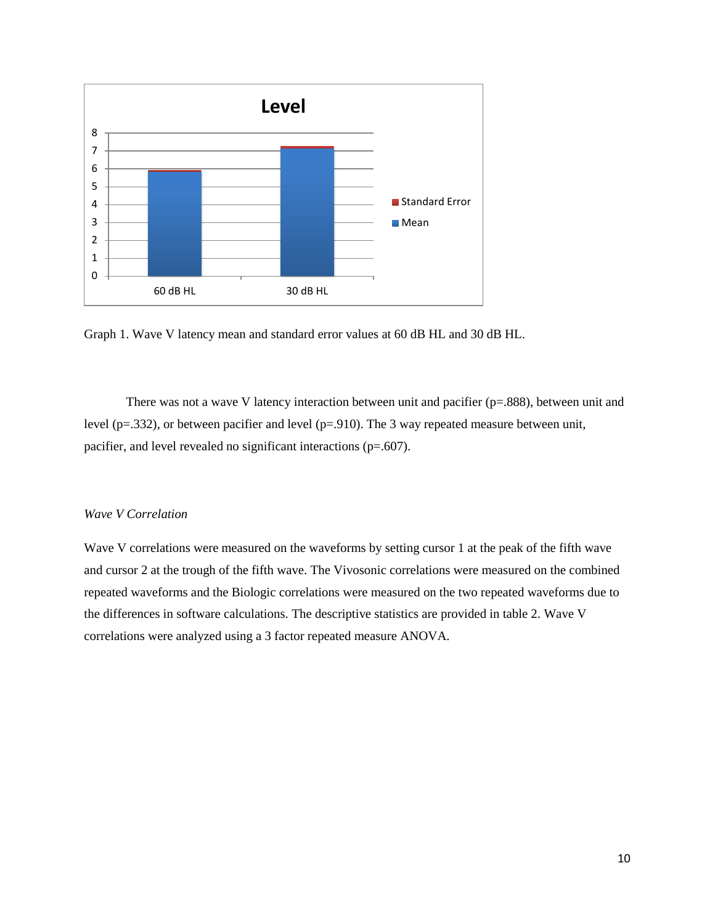

Graph 1. Wave V latency mean and standard error values at 60 dB HL and 30 dB HL.

There was not a wave V latency interaction between unit and pacifier  $(p=.888)$ , between unit and level (p=.332), or between pacifier and level (p=.910). The 3 way repeated measure between unit, pacifier, and level revealed no significant interactions (p=.607).

# *Wave V Correlation*

Wave V correlations were measured on the waveforms by setting cursor 1 at the peak of the fifth wave and cursor 2 at the trough of the fifth wave. The Vivosonic correlations were measured on the combined repeated waveforms and the Biologic correlations were measured on the two repeated waveforms due to the differences in software calculations. The descriptive statistics are provided in table 2. Wave V correlations were analyzed using a 3 factor repeated measure ANOVA.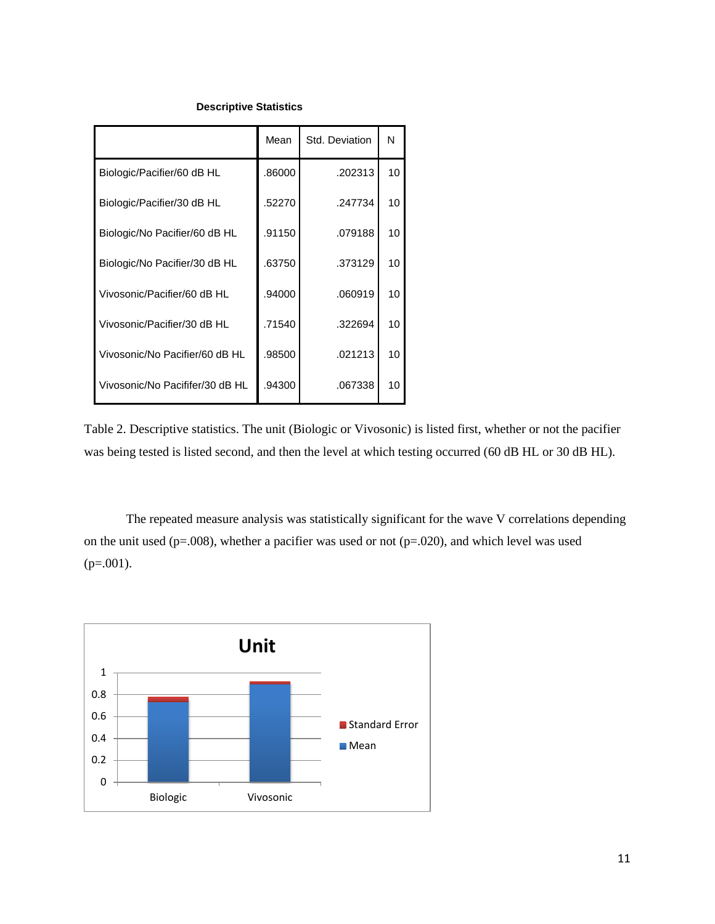## **Descriptive Statistics**

|                                 | Mean   | Std. Deviation | N               |
|---------------------------------|--------|----------------|-----------------|
| Biologic/Pacifier/60 dB HL      | .86000 | .202313        | 10 <sup>1</sup> |
| Biologic/Pacifier/30 dB HL      | .52270 | .247734        | 10              |
| Biologic/No Pacifier/60 dB HL   | .91150 | .079188        | 10              |
| Biologic/No Pacifier/30 dB HL   | .63750 | .373129        | 10              |
| Vivosonic/Pacifier/60 dB HL     | .94000 | .060919        | 10              |
| Vivosonic/Pacifier/30 dB HL     | .71540 | .322694        | 10              |
| Vivosonic/No Pacifier/60 dB HL  | .98500 | .021213        | 10              |
| Vivosonic/No Pacififer/30 dB HL | .94300 | .067338        | 10              |

Table 2. Descriptive statistics. The unit (Biologic or Vivosonic) is listed first, whether or not the pacifier was being tested is listed second, and then the level at which testing occurred (60 dB HL or 30 dB HL).

The repeated measure analysis was statistically significant for the wave V correlations depending on the unit used (p=.008), whether a pacifier was used or not (p=.020), and which level was used  $(p=.001)$ .

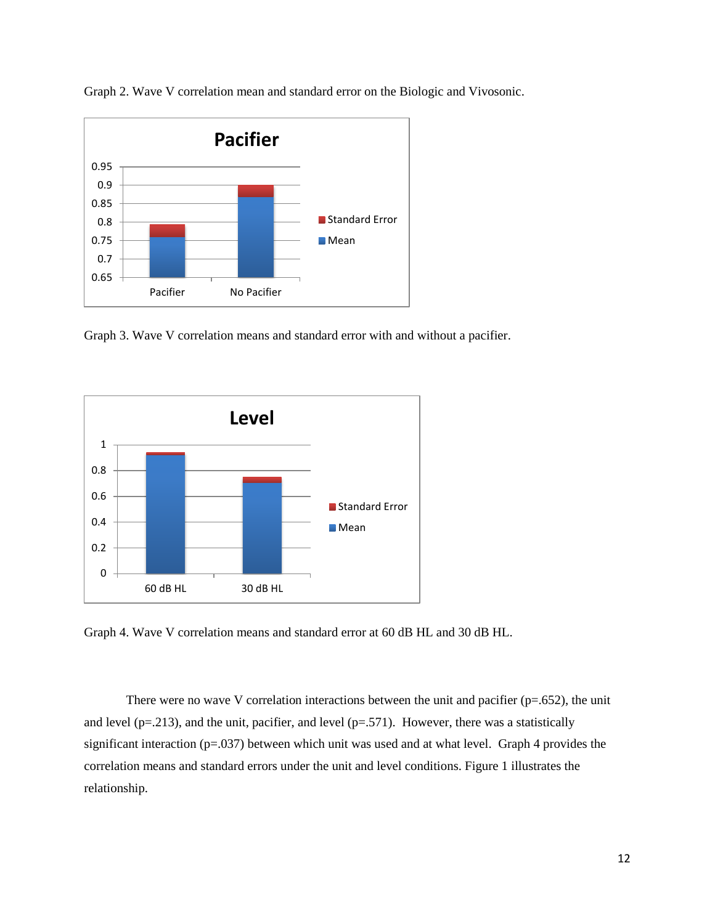

Graph 2. Wave V correlation mean and standard error on the Biologic and Vivosonic.

Graph 3. Wave V correlation means and standard error with and without a pacifier.



Graph 4. Wave V correlation means and standard error at 60 dB HL and 30 dB HL.

There were no wave V correlation interactions between the unit and pacifier  $(p=.652)$ , the unit and level ( $p=0.213$ ), and the unit, pacifier, and level ( $p=0.571$ ). However, there was a statistically significant interaction (p=.037) between which unit was used and at what level. Graph 4 provides the correlation means and standard errors under the unit and level conditions. Figure 1 illustrates the relationship.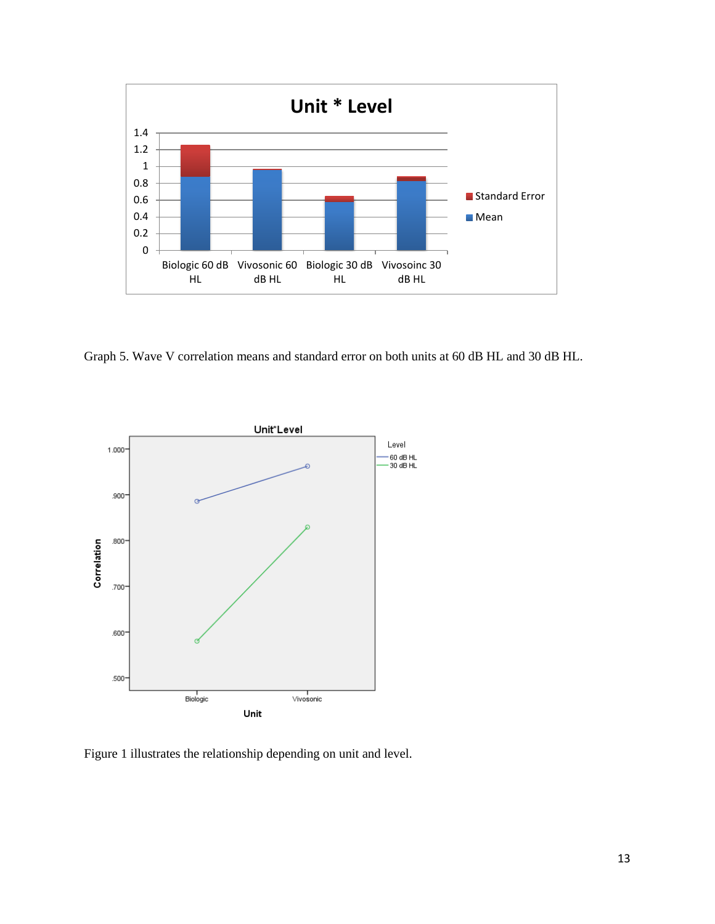

Graph 5. Wave V correlation means and standard error on both units at 60 dB HL and 30 dB HL.



Figure 1 illustrates the relationship depending on unit and level.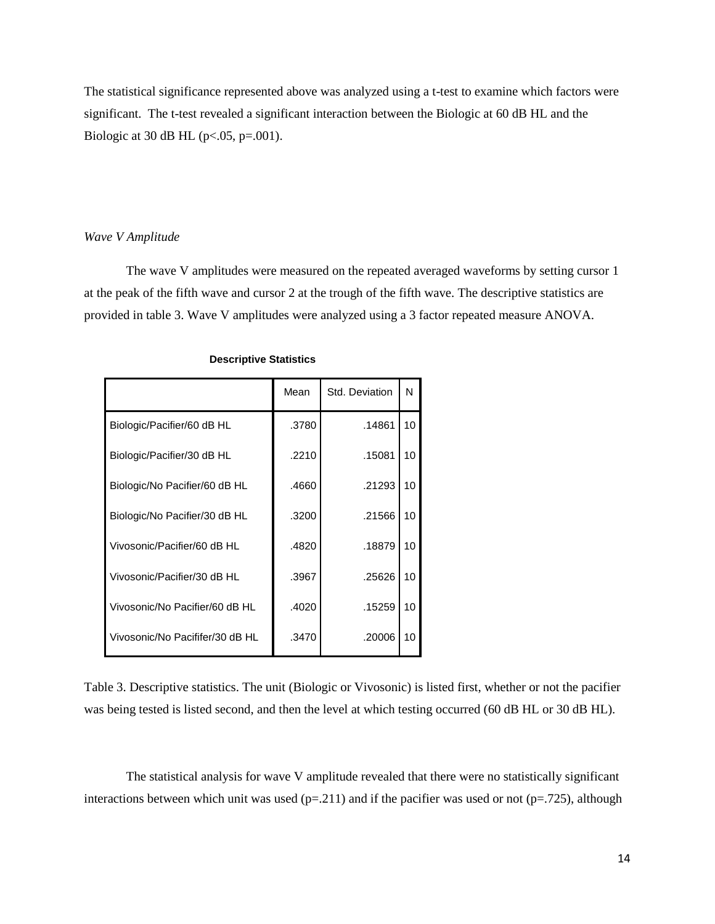The statistical significance represented above was analyzed using a t-test to examine which factors were significant. The t-test revealed a significant interaction between the Biologic at 60 dB HL and the Biologic at 30 dB HL ( $p < .05$ ,  $p = .001$ ).

#### *Wave V Amplitude*

The wave V amplitudes were measured on the repeated averaged waveforms by setting cursor 1 at the peak of the fifth wave and cursor 2 at the trough of the fifth wave. The descriptive statistics are provided in table 3. Wave V amplitudes were analyzed using a 3 factor repeated measure ANOVA.

|                                 | Mean  | Std. Deviation | N               |
|---------------------------------|-------|----------------|-----------------|
| Biologic/Pacifier/60 dB HL      | .3780 | .14861         | 10 <sup>1</sup> |
| Biologic/Pacifier/30 dB HL      | .2210 | .15081         | 10              |
| Biologic/No Pacifier/60 dB HL   | .4660 | .21293         | 10              |
| Biologic/No Pacifier/30 dB HL   | .3200 | .21566         | 10              |
| Vivosonic/Pacifier/60 dB HL     | .4820 | .18879         | 10              |
| Vivosonic/Pacifier/30 dB HL     | .3967 | .25626         | 10              |
| Vivosonic/No Pacifier/60 dB HL  | .4020 | .15259         | 10              |
| Vivosonic/No Pacififer/30 dB HL | .3470 | .20006         | 10              |

#### **Descriptive Statistics**

Table 3. Descriptive statistics. The unit (Biologic or Vivosonic) is listed first, whether or not the pacifier was being tested is listed second, and then the level at which testing occurred (60 dB HL or 30 dB HL).

The statistical analysis for wave V amplitude revealed that there were no statistically significant interactions between which unit was used ( $p=211$ ) and if the pacifier was used or not ( $p=.725$ ), although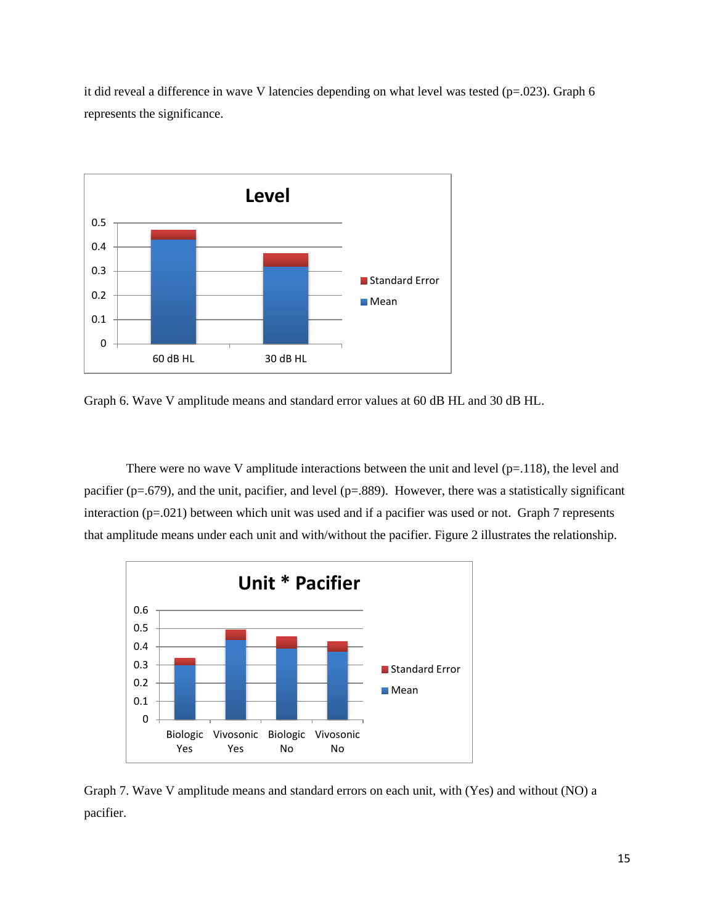it did reveal a difference in wave V latencies depending on what level was tested ( $p=0.023$ ). Graph 6 represents the significance.



Graph 6. Wave V amplitude means and standard error values at 60 dB HL and 30 dB HL.

There were no wave V amplitude interactions between the unit and level  $(p=118)$ , the level and pacifier (p=.679), and the unit, pacifier, and level (p=.889). However, there was a statistically significant interaction (p=.021) between which unit was used and if a pacifier was used or not. Graph 7 represents that amplitude means under each unit and with/without the pacifier. Figure 2 illustrates the relationship.



Graph 7. Wave V amplitude means and standard errors on each unit, with (Yes) and without (NO) a pacifier.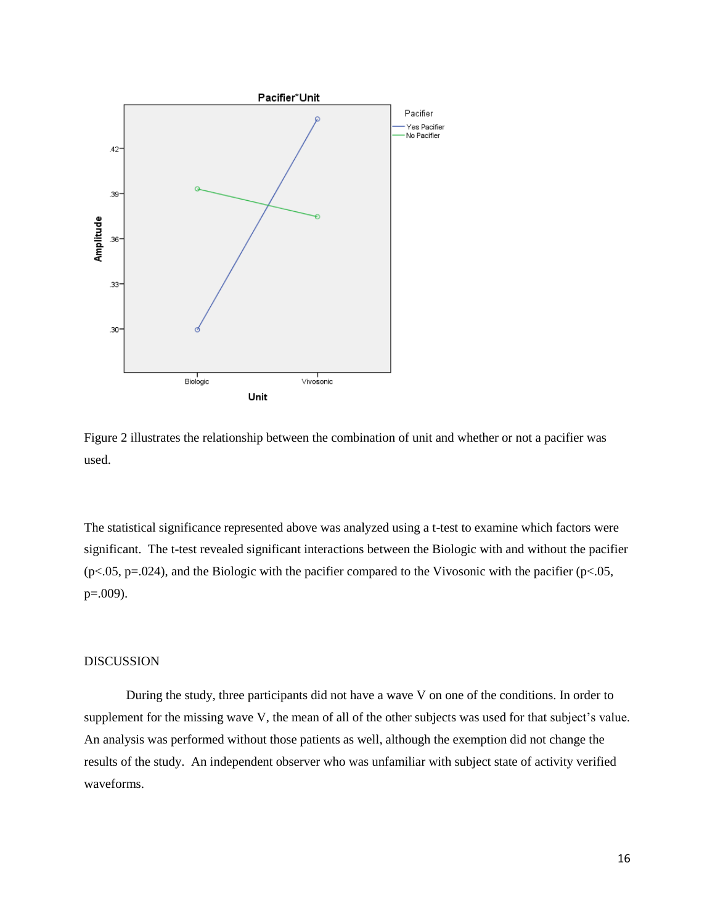



The statistical significance represented above was analyzed using a t-test to examine which factors were significant. The t-test revealed significant interactions between the Biologic with and without the pacifier  $(p<.05, p=.024)$ , and the Biologic with the pacifier compared to the Vivosonic with the pacifier  $(p<.05, p=.024)$ p=.009).

## DISCUSSION

During the study, three participants did not have a wave V on one of the conditions. In order to supplement for the missing wave V, the mean of all of the other subjects was used for that subject's value. An analysis was performed without those patients as well, although the exemption did not change the results of the study. An independent observer who was unfamiliar with subject state of activity verified waveforms.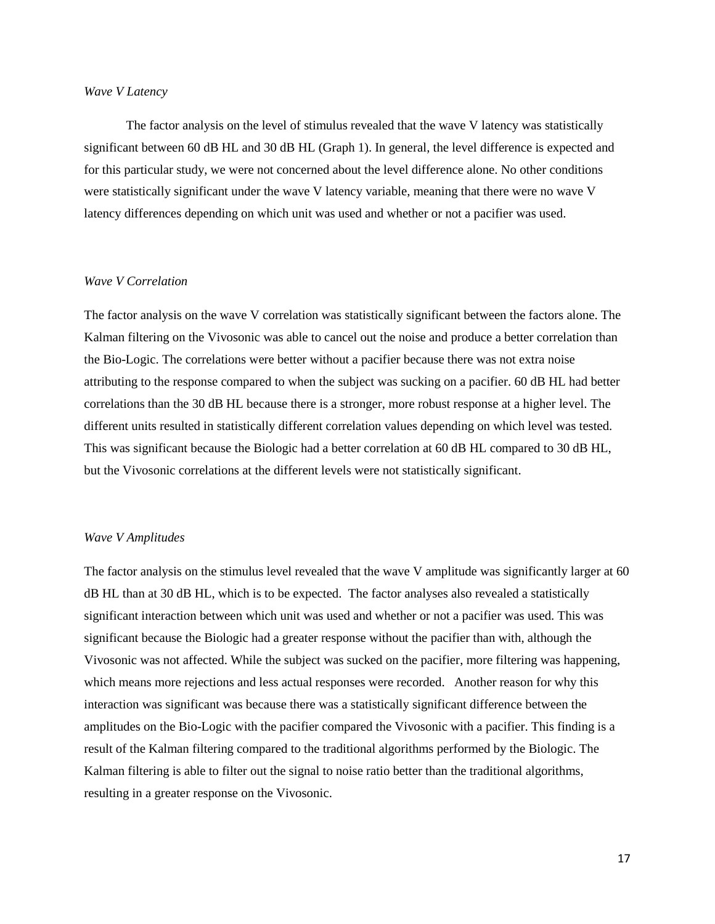#### *Wave V Latency*

The factor analysis on the level of stimulus revealed that the wave V latency was statistically significant between 60 dB HL and 30 dB HL (Graph 1). In general, the level difference is expected and for this particular study, we were not concerned about the level difference alone. No other conditions were statistically significant under the wave V latency variable, meaning that there were no wave V latency differences depending on which unit was used and whether or not a pacifier was used.

#### *Wave V Correlation*

The factor analysis on the wave V correlation was statistically significant between the factors alone. The Kalman filtering on the Vivosonic was able to cancel out the noise and produce a better correlation than the Bio-Logic. The correlations were better without a pacifier because there was not extra noise attributing to the response compared to when the subject was sucking on a pacifier. 60 dB HL had better correlations than the 30 dB HL because there is a stronger, more robust response at a higher level. The different units resulted in statistically different correlation values depending on which level was tested. This was significant because the Biologic had a better correlation at 60 dB HL compared to 30 dB HL, but the Vivosonic correlations at the different levels were not statistically significant.

#### *Wave V Amplitudes*

The factor analysis on the stimulus level revealed that the wave V amplitude was significantly larger at 60 dB HL than at 30 dB HL, which is to be expected. The factor analyses also revealed a statistically significant interaction between which unit was used and whether or not a pacifier was used. This was significant because the Biologic had a greater response without the pacifier than with, although the Vivosonic was not affected. While the subject was sucked on the pacifier, more filtering was happening, which means more rejections and less actual responses were recorded. Another reason for why this interaction was significant was because there was a statistically significant difference between the amplitudes on the Bio-Logic with the pacifier compared the Vivosonic with a pacifier. This finding is a result of the Kalman filtering compared to the traditional algorithms performed by the Biologic. The Kalman filtering is able to filter out the signal to noise ratio better than the traditional algorithms, resulting in a greater response on the Vivosonic.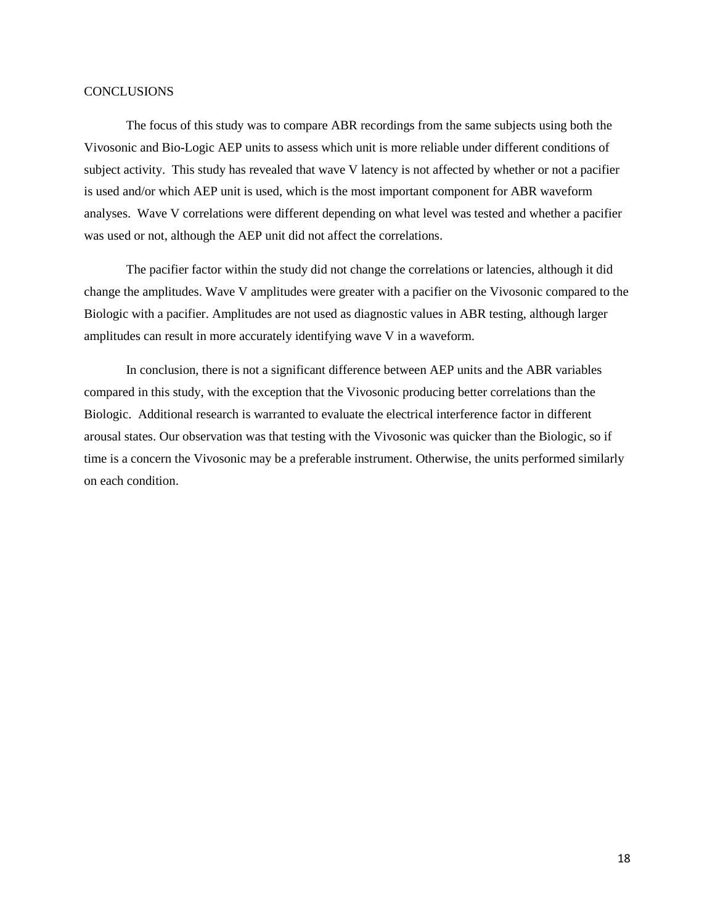### **CONCLUSIONS**

The focus of this study was to compare ABR recordings from the same subjects using both the Vivosonic and Bio-Logic AEP units to assess which unit is more reliable under different conditions of subject activity. This study has revealed that wave V latency is not affected by whether or not a pacifier is used and/or which AEP unit is used, which is the most important component for ABR waveform analyses. Wave V correlations were different depending on what level was tested and whether a pacifier was used or not, although the AEP unit did not affect the correlations.

The pacifier factor within the study did not change the correlations or latencies, although it did change the amplitudes. Wave V amplitudes were greater with a pacifier on the Vivosonic compared to the Biologic with a pacifier. Amplitudes are not used as diagnostic values in ABR testing, although larger amplitudes can result in more accurately identifying wave V in a waveform.

In conclusion, there is not a significant difference between AEP units and the ABR variables compared in this study, with the exception that the Vivosonic producing better correlations than the Biologic. Additional research is warranted to evaluate the electrical interference factor in different arousal states. Our observation was that testing with the Vivosonic was quicker than the Biologic, so if time is a concern the Vivosonic may be a preferable instrument. Otherwise, the units performed similarly on each condition.